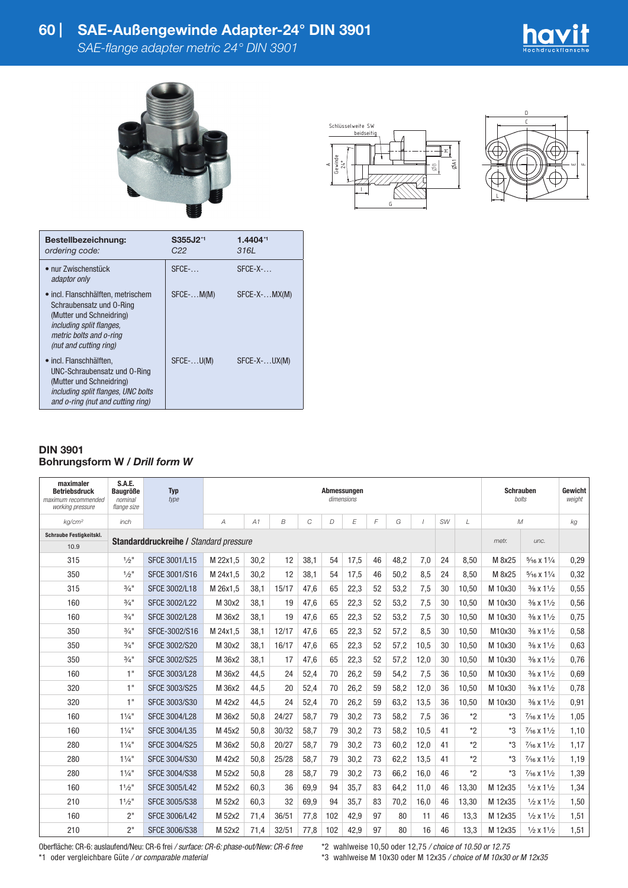## **60 | SAE-Außengewinde Adapter-24° DIN 3901**

*SAE-flange adapter metric 24° DIN 3901*





| Schlüsselweite SW          |            |   |   |                |
|----------------------------|------------|---|---|----------------|
|                            | beidseitig |   |   |                |
|                            |            |   |   | ۰ <del>۶</del> |
| $\frac{A}{\text{Gewinde}}$ |            |   | æ | ØA1            |
|                            |            |   |   |                |
|                            |            | G |   |                |



| Bestellbezeichnung:<br>ordering code:                                                                                                                                       | S355J2 <sup>*1</sup><br>C22 | 1.4404*1<br>3161   |
|-----------------------------------------------------------------------------------------------------------------------------------------------------------------------------|-----------------------------|--------------------|
| • nur Zwischenstück<br>adaptor only                                                                                                                                         | $SFCF$ -                    | $SFCF-X$           |
| • incl. Flanschhälften, metrischem<br>Schraubensatz und O-Ring<br>(Mutter und Schneidring)<br>including split flanges.<br>metric bolts and o-ring<br>(nut and cutting ring) | $SFCE-.$ $M(M)$             | $SFCE-X MX(M)$     |
| • incl. Flanschhälften.<br>UNC-Schraubensatz und O-Ring<br>(Mutter und Schneidring)<br>including split flanges, UNC bolts<br>and o-ring (nut and cutting ring)              | $SFCE$ - $U(M)$             | $SFCE-X$ - $UX(M)$ |

## **DIN 3901 Bohrungsform W /** *Drill form W*

| maximaler<br><b>Betriebsdruck</b><br>maximum recommended<br>working pressure | S.A.E.<br><b>Baugröße</b><br>nominal<br>flange size | <b>Typ</b><br>type   | Abmessungen<br>dimensions |      |                |      |     |      |    |      |          |           |            |         | <b>Schrauben</b><br>bolts       |      |  |
|------------------------------------------------------------------------------|-----------------------------------------------------|----------------------|---------------------------|------|----------------|------|-----|------|----|------|----------|-----------|------------|---------|---------------------------------|------|--|
| ka/cm <sup>2</sup>                                                           | $in$ ch                                             |                      | $\overline{A}$            | A1   | $\overline{B}$ | C    | D   | E    | F  | G    | $\prime$ | <b>SW</b> | $\sqrt{ }$ |         | $\mathcal M$                    | kg   |  |
| Schraube Festigkeitskl.                                                      | <b>Standarddruckreihe / Standard pressure</b>       |                      |                           |      |                |      |     |      |    |      |          |           | metr.      | unc.    |                                 |      |  |
| 10.9                                                                         |                                                     |                      |                           |      |                |      |     |      |    |      |          |           |            |         |                                 |      |  |
| 315                                                                          | $1/2$ "                                             | <b>SFCE 3001/L15</b> | M 22x1.5                  | 30.2 | 12             | 38.1 | 54  | 17,5 | 46 | 48.2 | 7,0      | 24        | 8.50       | M 8x25  | $\frac{5}{16}$ X $1\frac{1}{4}$ | 0,29 |  |
| 350                                                                          | $1/2$ "                                             | <b>SFCE 3001/S16</b> | M 24x1,5                  | 30,2 | 12             | 38,1 | 54  | 17,5 | 46 | 50,2 | 8,5      | 24        | 8,50       | M 8x25  | $\frac{5}{16}$ X $1\frac{1}{4}$ | 0,32 |  |
| 315                                                                          | $3/4$ <sup>11</sup>                                 | SFCE 3002/L18        | M 26x1.5                  | 38,1 | 15/17          | 47.6 | 65  | 22,3 | 52 | 53,2 | 7,5      | 30        | 10,50      | M 10x30 | $\frac{3}{8}$ x $\frac{11}{2}$  | 0,55 |  |
| 160                                                                          | $3/4$ <sup>11</sup>                                 | <b>SFCE 3002/L22</b> | M 30x2                    | 38.1 | 19             | 47.6 | 65  | 22,3 | 52 | 53,2 | 7,5      | 30        | 10,50      | M 10x30 | $\frac{3}{8}$ x $\frac{11}{2}$  | 0,56 |  |
| 160                                                                          | $3/4$ <sup>11</sup>                                 | <b>SFCE 3002/L28</b> | M 36x2                    | 38.1 | 19             | 47.6 | 65  | 22,3 | 52 | 53,2 | 7,5      | 30        | 10,50      | M 10x30 | $\frac{3}{8}$ x $\frac{11}{2}$  | 0,75 |  |
| 350                                                                          | $3/4$ "                                             | SFCE-3002/S16        | M 24x1.5                  | 38.1 | 12/17          | 47.6 | 65  | 22,3 | 52 | 57,2 | 8,5      | 30        | 10,50      | M10x30  | $\frac{3}{8}$ x $\frac{11}{2}$  | 0,58 |  |
| 350                                                                          | $3/4$ <sup>11</sup>                                 | <b>SFCE 3002/S20</b> | M 30x2                    | 38,1 | 16/17          | 47.6 | 65  | 22,3 | 52 | 57,2 | 10,5     | 30        | 10,50      | M 10x30 | $\frac{3}{8}$ x $\frac{11}{2}$  | 0.63 |  |
| 350                                                                          | $3/4$ <sup>11</sup>                                 | <b>SFCE 3002/S25</b> | M 36x2                    | 38.1 | 17             | 47.6 | 65  | 22,3 | 52 | 57,2 | 12,0     | 30        | 10,50      | M 10x30 | $\frac{3}{8}$ x $\frac{11}{2}$  | 0,76 |  |
| 160                                                                          | 1"                                                  | <b>SFCE 3003/L28</b> | M 36x2                    | 44.5 | 24             | 52.4 | 70  | 26,2 | 59 | 54,2 | 7,5      | 36        | 10,50      | M 10x30 | $\frac{3}{8}$ x $\frac{11}{2}$  | 0.69 |  |
| 320                                                                          | 1"                                                  | <b>SFCE 3003/S25</b> | M 36x2                    | 44,5 | 20             | 52,4 | 70  | 26,2 | 59 | 58,2 | 12,0     | 36        | 10,50      | M 10x30 | $\frac{3}{8}$ x $\frac{11}{2}$  | 0,78 |  |
| 320                                                                          | 1"                                                  | <b>SFCE 3003/S30</b> | M 42x2                    | 44.5 | 24             | 52,4 | 70  | 26,2 | 59 | 63,2 | 13,5     | 36        | 10,50      | M 10x30 | $\frac{3}{8}$ x $1\frac{1}{2}$  | 0,91 |  |
| 160                                                                          | 11/4"                                               | <b>SFCE 3004/L28</b> | M 36x2                    | 50,8 | 24/27          | 58,7 | 79  | 30,2 | 73 | 58,2 | 7,5      | 36        | $*2$       | *3      | $\frac{7}{16}$ X $1\frac{1}{2}$ | 1,05 |  |
| 160                                                                          | 11/4"                                               | <b>SFCE 3004/L35</b> | M 45x2                    | 50,8 | 30/32          | 58,7 | 79  | 30,2 | 73 | 58,2 | 10,5     | 41        | $*2$       | $*3$    | $\frac{7}{16}$ X $1\frac{1}{2}$ | 1,10 |  |
| 280                                                                          | $1\frac{1}{4}$                                      | <b>SFCE 3004/S25</b> | M 36x2                    | 50,8 | 20/27          | 58.7 | 79  | 30,2 | 73 | 60,2 | 12,0     | 41        | $*2$       | *3      | $\frac{7}{16}$ X $1\frac{1}{2}$ | 1,17 |  |
| 280                                                                          | 11/4"                                               | <b>SFCE 3004/S30</b> | M 42x2                    | 50,8 | 25/28          | 58,7 | 79  | 30,2 | 73 | 62,2 | 13,5     | 41        | $*$ 2      | $*3$    | $\frac{7}{16}$ X $1\frac{1}{2}$ | 1,19 |  |
| 280                                                                          | $1\frac{1}{4}$                                      | <b>SFCE 3004/S38</b> | M 52x2                    | 50.8 | 28             | 58.7 | 79  | 30,2 | 73 | 66,2 | 16,0     | 46        | $*2$       | $*3$    | $\frac{7}{16}$ X $1\frac{1}{2}$ | 1,39 |  |
| 160                                                                          | 11/2"                                               | <b>SFCE 3005/L42</b> | M 52x2                    | 60.3 | 36             | 69,9 | 94  | 35,7 | 83 | 64,2 | 11,0     | 46        | 13,30      | M 12x35 | $1/2 \times 11/2$               | 1,34 |  |
| 210                                                                          | 11/2"                                               | <b>SFCE 3005/S38</b> | M 52x2                    | 60.3 | 32             | 69,9 | 94  | 35,7 | 83 | 70,2 | 16.0     | 46        | 13,30      | M 12x35 | $1/2 \times 11/2$               | 1,50 |  |
| 160                                                                          | 2"                                                  | <b>SFCE 3006/L42</b> | M 52x2                    | 71,4 | 36/51          | 77,8 | 102 | 42,9 | 97 | 80   | 11       | 46        | 13.3       | M 12x35 | $1/2 \times 11/2$               | 1,51 |  |
| 210                                                                          | 2"                                                  | <b>SFCE 3006/S38</b> | M 52x2                    | 71,4 | 32/51          | 77,8 | 102 | 42,9 | 97 | 80   | 16       | 46        | 13,3       | M 12x35 | $1/2 \times 11/2$               | 1,51 |  |

Oberfläche: CR-6: auslaufend/Neu: CR-6 frei */ surface: CR-6: phase-out/New: CR-6 free* \*1 oder vergleichbare Güte */ or comparable material*

\*2 wahlweise 10,50 oder 12,75 */ choice of 10.50 or 12.75*

\*3 wahlweise M 10x30 oder M 12x35 */ choice of M 10x30 or M 12x35*